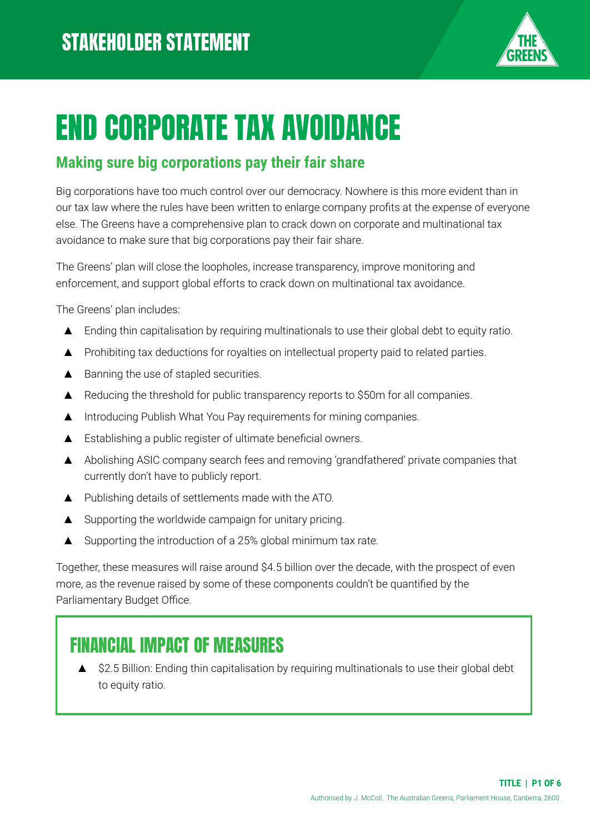

# END CORPORATE TAX AVOIDANCE

### **Making sure big corporations pay their fair share**

Big corporations have too much control over our democracy. Nowhere is this more evident than in our tax law where the rules have been written to enlarge company profits at the expense of everyone else. The Greens have a comprehensive plan to crack down on corporate and multinational tax avoidance to make sure that big corporations pay their fair share.

The Greens' plan will close the loopholes, increase transparency, improve monitoring and enforcement, and support global efforts to crack down on multinational tax avoidance.

The Greens' plan includes:

- ▲ Ending thin capitalisation by requiring multinationals to use their global debt to equity ratio.
- ▲ Prohibiting tax deductions for royalties on intellectual property paid to related parties.
- ▲ Banning the use of stapled securities.
- ▲ Reducing the threshold for public transparency reports to \$50m for all companies.
- ▲ Introducing Publish What You Pay requirements for mining companies.
- ▲ Establishing a public register of ultimate beneficial owners.
- ▲ Abolishing ASIC company search fees and removing 'grandfathered' private companies that currently don't have to publicly report.
- ▲ Publishing details of settlements made with the ATO.
- ▲ Supporting the worldwide campaign for unitary pricing.
- ▲ Supporting the introduction of a 25% global minimum tax rate.

Together, these measures will raise around \$4.5 billion over the decade, with the prospect of even more, as the revenue raised by some of these components couldn't be quantified by the Parliamentary Budget Office.

# FINANCIAL IMPACT OF MEASURES

\$2.5 Billion: Ending thin capitalisation by requiring multinationals to use their global debt to equity ratio.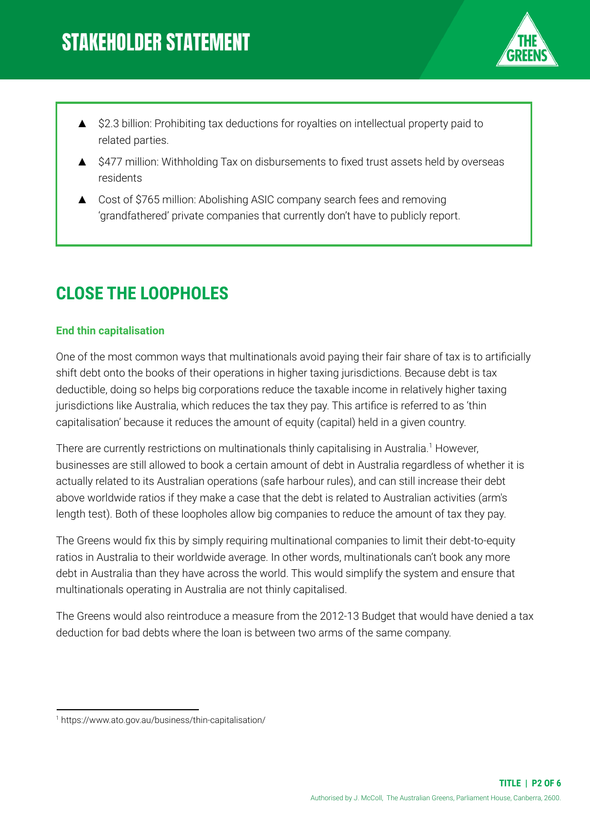

- ▲ \$2.3 billion: Prohibiting tax deductions for royalties on intellectual property paid to related parties.
- ▲ \$477 million: Withholding Tax on disbursements to fixed trust assets held by overseas residents
- Cost of \$765 million: Abolishing ASIC company search fees and removing 'grandfathered' private companies that currently don't have to publicly report.

# **CLOSE THE LOOPHOLES**

#### **End thin capitalisation**

One of the most common ways that multinationals avoid paying their fair share of tax is to artificially shift debt onto the books of their operations in higher taxing jurisdictions. Because debt is tax deductible, doing so helps big corporations reduce the taxable income in relatively higher taxing jurisdictions like Australia, which reduces the tax they pay. This artifice is referred to as 'thin capitalisation' because it reduces the amount of equity (capital) held in a given country.

There are currently restrictions on multinationals thinly capitalising in Australia.<sup>1</sup> However, businesses are still allowed to book a certain amount of debt in Australia regardless of whether it is actually related to its Australian operations (safe harbour rules), and can still increase their debt above worldwide ratios if they make a case that the debt is related to Australian activities (arm's length test). Both of these loopholes allow big companies to reduce the amount of tax they pay.

The Greens would fix this by simply requiring multinational companies to limit their debt-to-equity ratios in Australia to their worldwide average. In other words, multinationals can't book any more debt in Australia than they have across the world. This would simplify the system and ensure that multinationals operating in Australia are not thinly capitalised.

The Greens would also reintroduce a measure from the 2012‐13 Budget that would have denied a tax deduction for bad debts where the loan is between two arms of the same company.

<sup>1</sup> https://www.ato.gov.au/business/thin-capitalisation/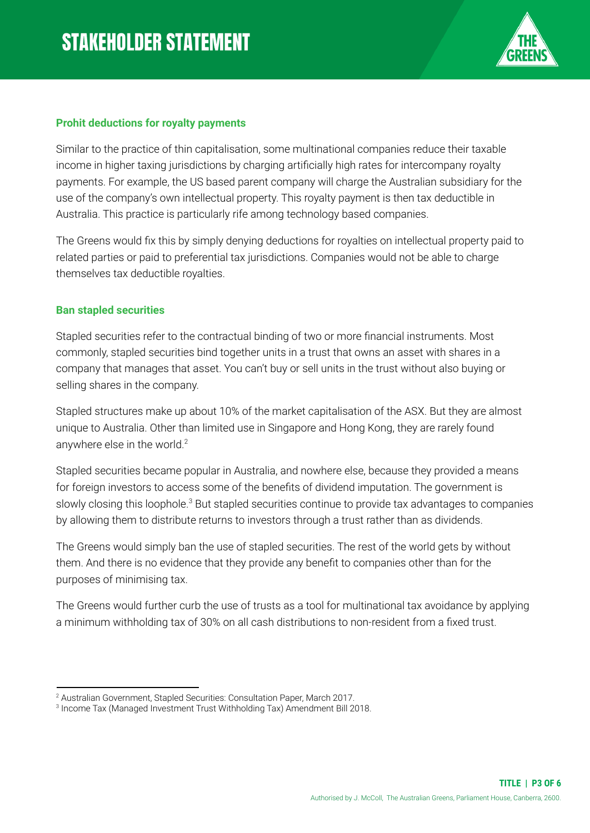

#### **Prohit deductions for royalty payments**

Similar to the practice of thin capitalisation, some multinational companies reduce their taxable income in higher taxing jurisdictions by charging artificially high rates for intercompany royalty payments. For example, the US based parent company will charge the Australian subsidiary for the use of the company's own intellectual property. This royalty payment is then tax deductible in Australia. This practice is particularly rife among technology based companies.

The Greens would fix this by simply denying deductions for royalties on intellectual property paid to related parties or paid to preferential tax jurisdictions. Companies would not be able to charge themselves tax deductible royalties.

#### **Ban stapled securities**

Stapled securities refer to the contractual binding of two or more financial instruments. Most commonly, stapled securities bind together units in a trust that owns an asset with shares in a company that manages that asset. You can't buy or sell units in the trust without also buying or selling shares in the company.

Stapled structures make up about 10% of the market capitalisation of the ASX. But they are almost unique to Australia. Other than limited use in Singapore and Hong Kong, they are rarely found anywhere else in the world.<sup>2</sup>

Stapled securities became popular in Australia, and nowhere else, because they provided a means for foreign investors to access some of the benefits of dividend imputation. The government is slowly closing this loophole. $^3$  But stapled securities continue to provide tax advantages to companies by allowing them to distribute returns to investors through a trust rather than as dividends.

The Greens would simply ban the use of stapled securities. The rest of the world gets by without them. And there is no evidence that they provide any benefit to companies other than for the purposes of minimising tax.

The Greens would further curb the use of trusts as a tool for multinational tax avoidance by applying a minimum withholding tax of 30% on all cash distributions to non-resident from a fixed trust.

<sup>&</sup>lt;sup>2</sup> Australian Government, Stapled Securities: Consultation Paper, March 2017.

<sup>3</sup> Income Tax (Managed Investment Trust Withholding Tax) Amendment Bill 2018.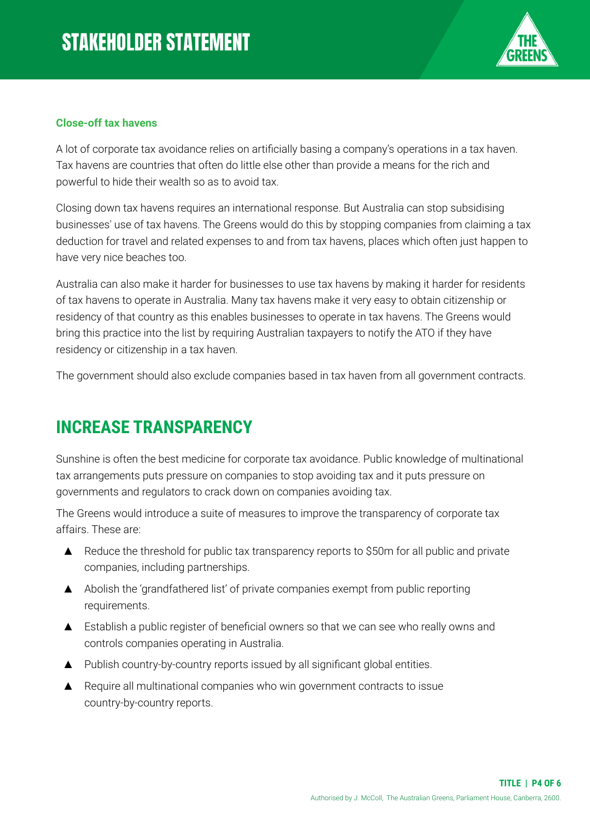

#### **Close-off tax havens**

A lot of corporate tax avoidance relies on artificially basing a company's operations in a tax haven. Tax havens are countries that often do little else other than provide a means for the rich and powerful to hide their wealth so as to avoid tax.

Closing down tax havens requires an international response. But Australia can stop subsidising businesses' use of tax havens. The Greens would do this by stopping companies from claiming a tax deduction for travel and related expenses to and from tax havens, places which often just happen to have very nice beaches too.

Australia can also make it harder for businesses to use tax havens by making it harder for residents of tax havens to operate in Australia. Many tax havens make it very easy to obtain citizenship or residency of that country as this enables businesses to operate in tax havens. The Greens would bring this practice into the list by requiring Australian taxpayers to notify the ATO if they have residency or citizenship in a tax haven.

The government should also exclude companies based in tax haven from all government contracts.

## **INCREASE TRANSPARENCY**

Sunshine is often the best medicine for corporate tax avoidance. Public knowledge of multinational tax arrangements puts pressure on companies to stop avoiding tax and it puts pressure on governments and regulators to crack down on companies avoiding tax.

The Greens would introduce a suite of measures to improve the transparency of corporate tax affairs. These are:

- ▲ Reduce the threshold for public tax transparency reports to \$50m for all public and private companies, including partnerships.
- ▲ Abolish the 'grandfathered list' of private companies exempt from public reporting requirements.
- ▲ Establish a public register of beneficial owners so that we can see who really owns and controls companies operating in Australia.
- ▲ Publish country-by-country reports issued by all significant global entities.
- ▲ Require all multinational companies who win government contracts to issue country-by-country reports.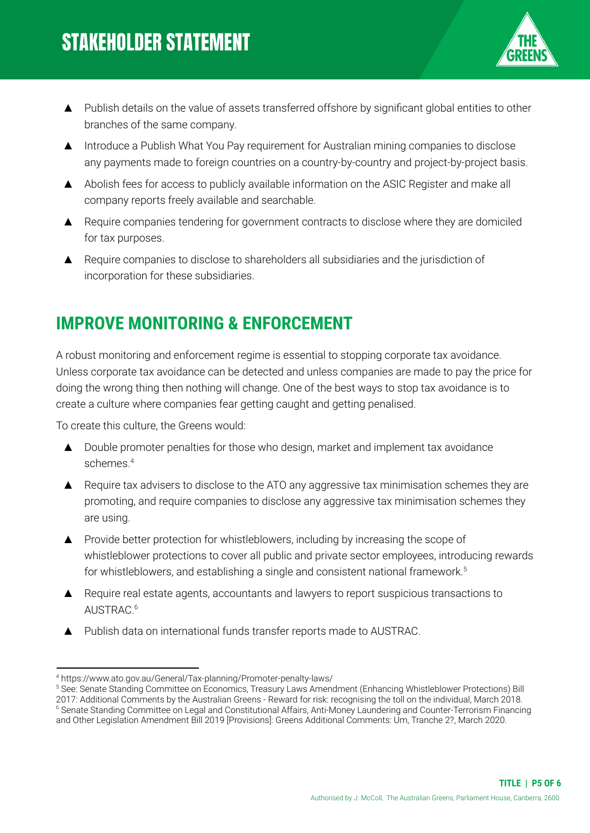

- ▲ Publish details on the value of assets transferred offshore by significant global entities to other branches of the same company.
- ▲ Introduce a Publish What You Pay requirement for Australian mining companies to disclose any payments made to foreign countries on a country-by-country and project-by-project basis.
- ▲ Abolish fees for access to publicly available information on the ASIC Register and make all company reports freely available and searchable.
- ▲ Require companies tendering for government contracts to disclose where they are domiciled for tax purposes.
- ▲ Require companies to disclose to shareholders all subsidiaries and the jurisdiction of incorporation for these subsidiaries.

# **IMPROVE MONITORING & ENFORCEMENT**

A robust monitoring and enforcement regime is essential to stopping corporate tax avoidance. Unless corporate tax avoidance can be detected and unless companies are made to pay the price for doing the wrong thing then nothing will change. One of the best ways to stop tax avoidance is to create a culture where companies fear getting caught and getting penalised.

To create this culture, the Greens would:

- ▲ Double promoter penalties for those who design, market and implement tax avoidance schemes. 4
- ▲ Require tax advisers to disclose to the ATO any aggressive tax minimisation schemes they are promoting, and require companies to disclose any aggressive tax minimisation schemes they are using.
- ▲ Provide better protection for whistleblowers, including by increasing the scope of whistleblower protections to cover all public and private sector employees, introducing rewards for whistleblowers, and establishing a single and consistent national framework. 5
- ▲ Require real estate agents, accountants and lawyers to report suspicious transactions to AUSTRAC. 6
- ▲ Publish data on international funds transfer reports made to AUSTRAC.

<sup>4</sup> https://www.ato.gov.au/General/Tax-planning/Promoter-penalty-laws/

<sup>6</sup> Senate Standing Committee on Legal and Constitutional Affairs, Anti-Money Laundering and Counter-Terrorism Financing and Other Legislation Amendment Bill 2019 [Provisions]: [Greens Additional Comments: Um, Tranche 2?,](https://www.aph.gov.au/Parliamentary_Business/Committees/Senate/Legal_and_Constitutional_Affairs/Anti-moneylaunder2019/Report/section?id=committees%2freportsen%2f024415%2f72878) March 2020. <sup>5</sup> See: Senate Standing Committee on Economics, Treasury Laws Amendment (Enhancing Whistleblower Protections) Bill 2017: Additional Comments by the Australian Greens [- Reward for risk: recognising the toll on the individual,](https://www.aph.gov.au/Parliamentary_Business/Committees/Senate/Economics/WhistleblowerBill2017/Report/d02) March 2018.